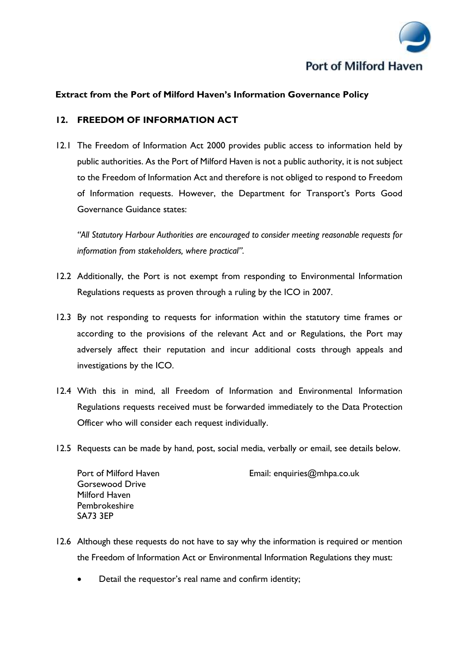

## **Extract from the Port of Milford Haven's Information Governance Policy**

## **12. FREEDOM OF INFORMATION ACT**

12.1 The Freedom of Information Act 2000 provides public access to information held by public authorities. As the Port of Milford Haven is not a public authority, it is not subject to the Freedom of Information Act and therefore is not obliged to respond to Freedom of Information requests. However, the Department for Transport's Ports Good Governance Guidance states:

*"All Statutory Harbour Authorities are encouraged to consider meeting reasonable requests for information from stakeholders, where practical".*

- 12.2 Additionally, the Port is not exempt from responding to Environmental Information Regulations requests as proven through a ruling by the ICO in 2007.
- 12.3 By not responding to requests for information within the statutory time frames or according to the provisions of the relevant Act and or Regulations, the Port may adversely affect their reputation and incur additional costs through appeals and investigations by the ICO.
- 12.4 With this in mind, all Freedom of Information and Environmental Information Regulations requests received must be forwarded immediately to the Data Protection Officer who will consider each request individually.
- 12.5 Requests can be made by hand, post, social media, verbally or email, see details below.

Gorsewood Drive Milford Haven Pembrokeshire SA73 3EP

Port of Milford Haven **Email:** [enquiries@mhpa.co.uk](mailto:enquiries@mhpa.co.uk)

- 12.6 Although these requests do not have to say why the information is required or mention the Freedom of Information Act or Environmental Information Regulations they must:
	- Detail the requestor's real name and confirm identity;